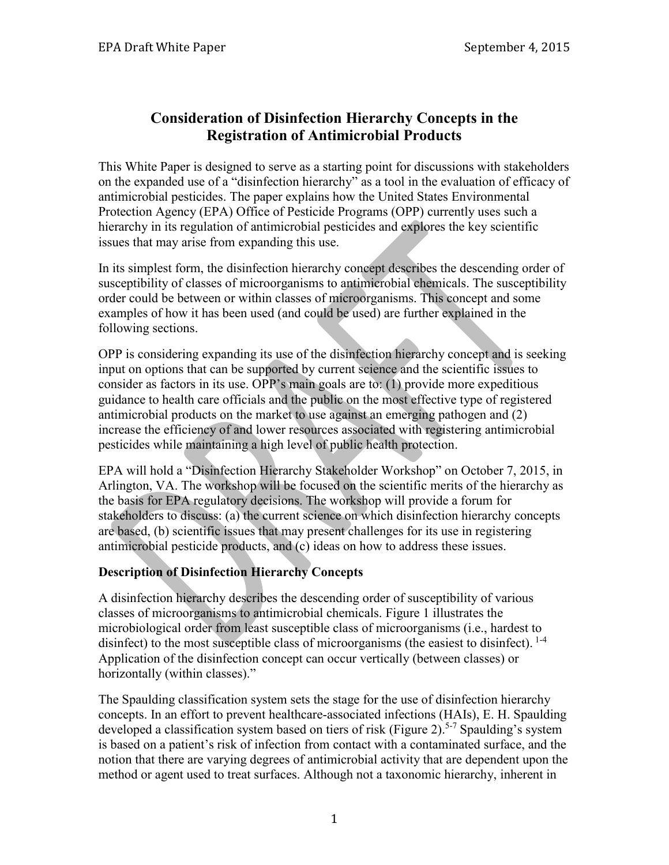# **Consideration of Disinfection Hierarchy Concepts in the Registration of Antimicrobial Products**

This White Paper is designed to serve as a starting point for discussions with stakeholders on the expanded use of a "disinfection hierarchy" as a tool in the evaluation of efficacy of antimicrobial pesticides. The paper explains how the United States Environmental Protection Agency (EPA) Office of Pesticide Programs (OPP) currently uses such a hierarchy in its regulation of antimicrobial pesticides and explores the key scientific issues that may arise from expanding this use.

In its simplest form, the disinfection hierarchy concept describes the descending order of susceptibility of classes of microorganisms to antimicrobial chemicals. The susceptibility order could be between or within classes of microorganisms. This concept and some examples of how it has been used (and could be used) are further explained in the following sections.

OPP is considering expanding its use of the disinfection hierarchy concept and is seeking input on options that can be supported by current science and the scientific issues to consider as factors in its use. OPP's main goals are to: (1) provide more expeditious guidance to health care officials and the public on the most effective type of registered antimicrobial products on the market to use against an emerging pathogen and (2) increase the efficiency of and lower resources associated with registering antimicrobial pesticides while maintaining a high level of public health protection.

EPA will hold a "Disinfection Hierarchy Stakeholder Workshop" on October 7, 2015, in Arlington, VA. The workshop will be focused on the scientific merits of the hierarchy as the basis for EPA regulatory decisions. The workshop will provide a forum for stakeholders to discuss: (a) the current science on which disinfection hierarchy concepts are based, (b) scientific issues that may present challenges for its use in registering antimicrobial pesticide products, and (c) ideas on how to address these issues.

## **Description of Disinfection Hierarchy Concepts**

A disinfection hierarchy describes the descending order of susceptibility of various classes of microorganisms to antimicrobial chemicals. Figure 1 illustrates the microbiological order from least susceptible class of microorganisms (i.e., hardest to disinfect) to the most susceptible class of microorganisms (the easiest to disinfect). <sup>1-4</sup> Application of the disinfection concept can occur vertically (between classes) or horizontally (within classes)."

The Spaulding classification system sets the stage for the use of disinfection hierarchy concepts. In an effort to prevent healthcare-associated infections (HAIs), E. H. Spaulding developed a classification system based on tiers of risk (Figure 2).<sup>5-7</sup> Spaulding's system is based on a patient's risk of infection from contact with a contaminated surface, and the notion that there are varying degrees of antimicrobial activity that are dependent upon the method or agent used to treat surfaces. Although not a taxonomic hierarchy, inherent in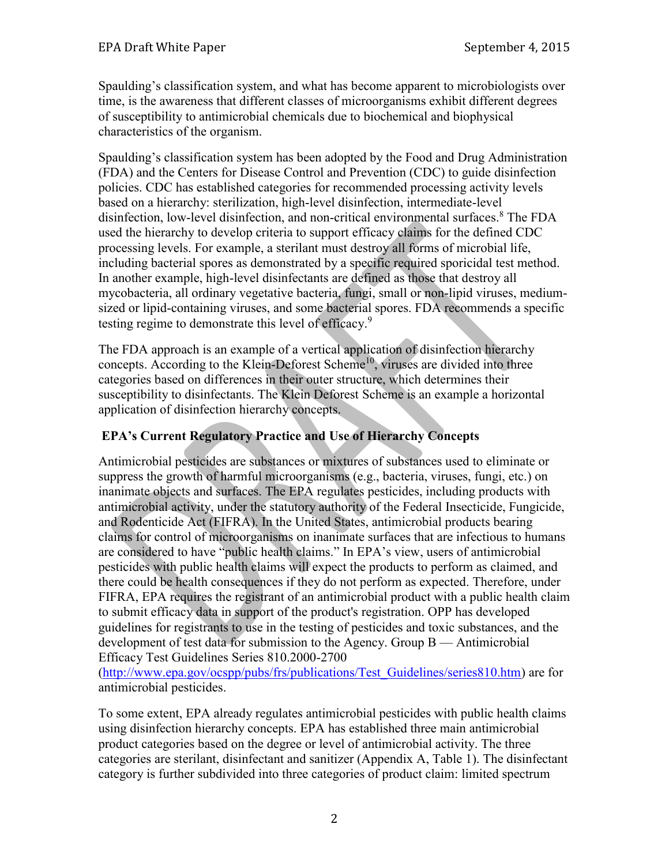Spaulding's classification system, and what has become apparent to microbiologists over time, is the awareness that different classes of microorganisms exhibit different degrees of susceptibility to antimicrobial chemicals due to biochemical and biophysical characteristics of the organism.

Spaulding's classification system has been adopted by the Food and Drug Administration (FDA) and the Centers for Disease Control and Prevention (CDC) to guide disinfection policies. CDC has established categories for recommended processing activity levels based on a hierarchy: sterilization, high-level disinfection, intermediate-level disinfection, low-level disinfection, and non-critical environmental surfaces. <sup>8</sup> The FDA used the hierarchy to develop criteria to support efficacy claims for the defined CDC processing levels. For example, a sterilant must destroy all forms of microbial life, including bacterial spores as demonstrated by a specific required sporicidal test method. In another example, high-level disinfectants are defined as those that destroy all mycobacteria, all ordinary vegetative bacteria, fungi, small or non-lipid viruses, mediumsized or lipid-containing viruses, and some bacterial spores. FDA recommends a specific testing regime to demonstrate this level of efficacy.<sup>9</sup>

The FDA approach is an example of a vertical application of disinfection hierarchy concepts. According to the Klein-Deforest Scheme<sup>10</sup>, viruses are divided into three categories based on differences in their outer structure, which determines their susceptibility to disinfectants. The Klein Deforest Scheme is an example a horizontal application of disinfection hierarchy concepts.

## **EPA's Current Regulatory Practice and Use of Hierarchy Concepts**

Antimicrobial pesticides are substances or mixtures of substances used to eliminate or suppress the growth of harmful microorganisms (e.g., bacteria, viruses, fungi, etc.) on inanimate objects and surfaces. The EPA regulates pesticides, including products with antimicrobial activity, under the statutory authority of the Federal Insecticide, Fungicide, and Rodenticide Act (FIFRA). In the United States, antimicrobial products bearing claims for control of microorganisms on inanimate surfaces that are infectious to humans are considered to have "public health claims." In EPA's view, users of antimicrobial pesticides with public health claims will expect the products to perform as claimed, and there could be health consequences if they do not perform as expected. Therefore, under FIFRA, EPA requires the registrant of an antimicrobial product with a public health claim to submit efficacy data in support of the product's registration. OPP has developed guidelines for registrants to use in the testing of pesticides and toxic substances, and the development of test data for submission to the Agency. Group B — Antimicrobial Efficacy Test Guidelines Series 810.2000-2700

[\(http://www.epa.gov/ocspp/pubs/frs/publications/Test\\_Guidelines/series810.htm\)](http://www.epa.gov/ocspp/pubs/frs/publications/Test_Guidelines/series810.htm) are for antimicrobial pesticides.

To some extent, EPA already regulates antimicrobial pesticides with public health claims using disinfection hierarchy concepts. EPA has established three main antimicrobial product categories based on the degree or level of antimicrobial activity. The three categories are sterilant, disinfectant and sanitizer (Appendix A, Table 1). The disinfectant category is further subdivided into three categories of product claim: limited spectrum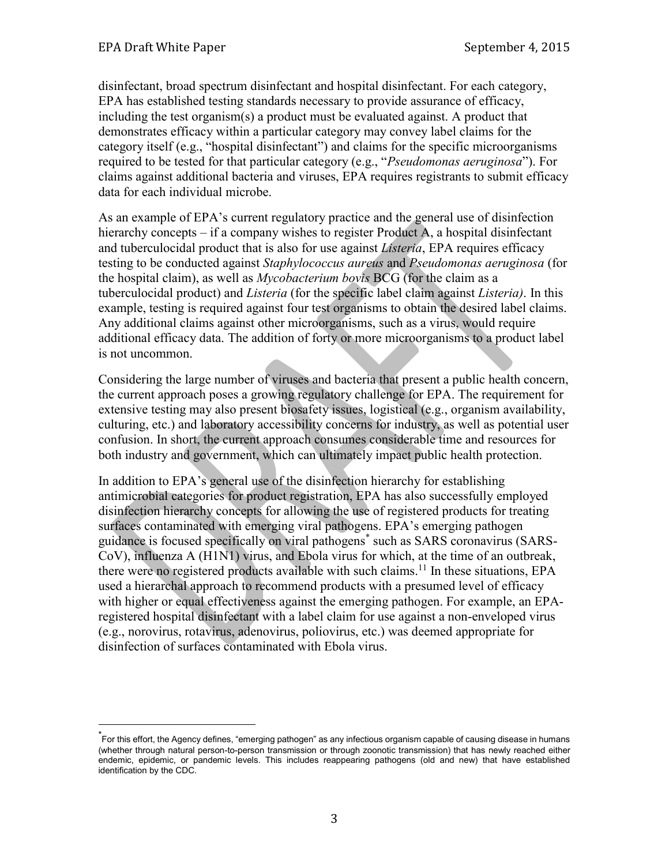$\overline{a}$ 

disinfectant, broad spectrum disinfectant and hospital disinfectant. For each category, EPA has established testing standards necessary to provide assurance of efficacy, including the test organism(s) a product must be evaluated against. A product that demonstrates efficacy within a particular category may convey label claims for the category itself (e.g., "hospital disinfectant") and claims for the specific microorganisms required to be tested for that particular category (e.g., "*Pseudomonas aeruginosa*"). For claims against additional bacteria and viruses, EPA requires registrants to submit efficacy data for each individual microbe.

As an example of EPA's current regulatory practice and the general use of disinfection hierarchy concepts – if a company wishes to register Product A, a hospital disinfectant and tuberculocidal product that is also for use against *Listeria*, EPA requires efficacy testing to be conducted against *Staphylococcus aureus* and *Pseudomonas aeruginosa* (for the hospital claim), as well as *Mycobacterium bovis* BCG (for the claim as a tuberculocidal product) and *Listeria* (for the specific label claim against *Listeria)*. In this example, testing is required against four test organisms to obtain the desired label claims. Any additional claims against other microorganisms, such as a virus, would require additional efficacy data. The addition of forty or more microorganisms to a product label is not uncommon.

Considering the large number of viruses and bacteria that present a public health concern, the current approach poses a growing regulatory challenge for EPA. The requirement for extensive testing may also present biosafety issues, logistical (e.g., organism availability, culturing, etc.) and laboratory accessibility concerns for industry, as well as potential user confusion. In short, the current approach consumes considerable time and resources for both industry and government, which can ultimately impact public health protection.

In addition to EPA's general use of the disinfection hierarchy for establishing antimicrobial categories for product registration, EPA has also successfully employed disinfection hierarchy concepts for allowing the use of registered products for treating surfaces contaminated with emerging viral pathogens. EPA's emerging pathogen guidance is focused specifically on viral pathogens\* such as SARS coronavirus (SARS-CoV), influenza A (H1N1) virus, and Ebola virus for which, at the time of an outbreak, there were no registered products available with such claims.<sup>11</sup> In these situations, EPA used a hierarchal approach to recommend products with a presumed level of efficacy with higher or equal effectiveness against the emerging pathogen. For example, an EPAregistered hospital disinfectant with a label claim for use against a non-enveloped virus (e.g., norovirus, rotavirus, adenovirus, poliovirus, etc.) was deemed appropriate for disinfection of surfaces contaminated with Ebola virus.

<sup>\*</sup> For this effort, the Agency defines, "emerging pathogen" as any infectious organism capable of causing disease in humans (whether through natural person-to-person transmission or through zoonotic transmission) that has newly reached either endemic, epidemic, or pandemic levels. This includes reappearing pathogens (old and new) that have established identification by the CDC.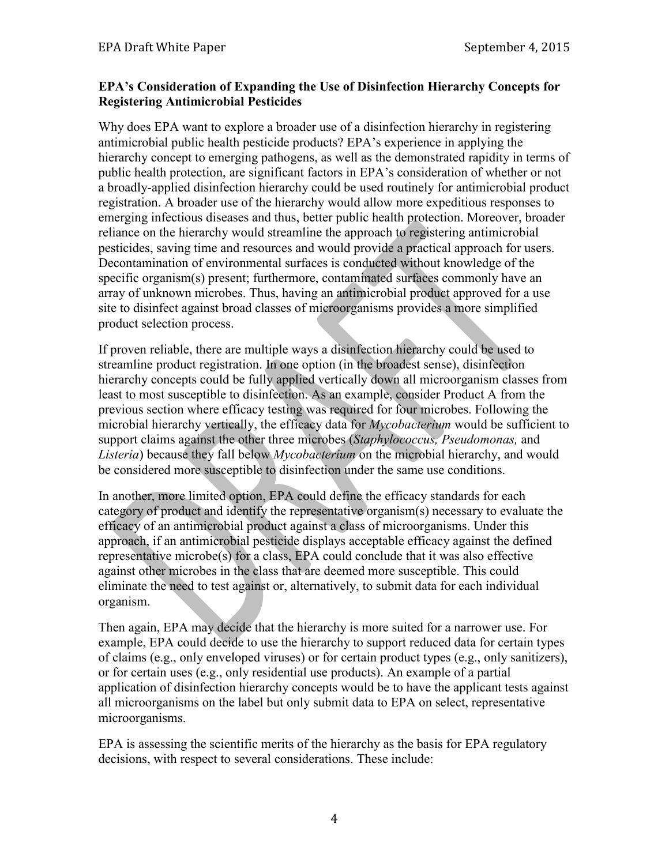### **EPA's Consideration of Expanding the Use of Disinfection Hierarchy Concepts for Registering Antimicrobial Pesticides**

Why does EPA want to explore a broader use of a disinfection hierarchy in registering antimicrobial public health pesticide products? EPA's experience in applying the hierarchy concept to emerging pathogens, as well as the demonstrated rapidity in terms of public health protection, are significant factors in EPA's consideration of whether or not a broadly-applied disinfection hierarchy could be used routinely for antimicrobial product registration. A broader use of the hierarchy would allow more expeditious responses to emerging infectious diseases and thus, better public health protection. Moreover, broader reliance on the hierarchy would streamline the approach to registering antimicrobial pesticides, saving time and resources and would provide a practical approach for users. Decontamination of environmental surfaces is conducted without knowledge of the specific organism(s) present; furthermore, contaminated surfaces commonly have an array of unknown microbes. Thus, having an antimicrobial product approved for a use site to disinfect against broad classes of microorganisms provides a more simplified product selection process.

If proven reliable, there are multiple ways a disinfection hierarchy could be used to streamline product registration. In one option (in the broadest sense), disinfection hierarchy concepts could be fully applied vertically down all microorganism classes from least to most susceptible to disinfection. As an example, consider Product A from the previous section where efficacy testing was required for four microbes. Following the microbial hierarchy vertically, the efficacy data for *Mycobacterium* would be sufficient to support claims against the other three microbes (*Staphylococcus, Pseudomonas,* and *Listeria*) because they fall below *Mycobacterium* on the microbial hierarchy, and would be considered more susceptible to disinfection under the same use conditions.

In another, more limited option, EPA could define the efficacy standards for each category of product and identify the representative organism(s) necessary to evaluate the efficacy of an antimicrobial product against a class of microorganisms. Under this approach, if an antimicrobial pesticide displays acceptable efficacy against the defined representative microbe(s) for a class, EPA could conclude that it was also effective against other microbes in the class that are deemed more susceptible. This could eliminate the need to test against or, alternatively, to submit data for each individual organism.

Then again, EPA may decide that the hierarchy is more suited for a narrower use. For example, EPA could decide to use the hierarchy to support reduced data for certain types of claims (e.g., only enveloped viruses) or for certain product types (e.g., only sanitizers), or for certain uses (e.g., only residential use products). An example of a partial application of disinfection hierarchy concepts would be to have the applicant tests against all microorganisms on the label but only submit data to EPA on select, representative microorganisms.

EPA is assessing the scientific merits of the hierarchy as the basis for EPA regulatory decisions, with respect to several considerations. These include: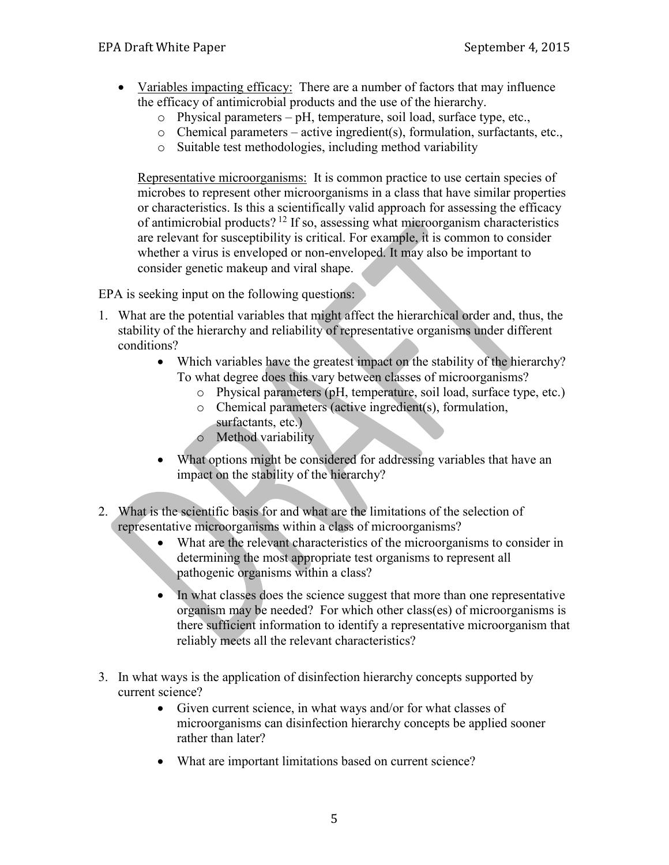- Variables impacting efficacy: There are a number of factors that may influence the efficacy of antimicrobial products and the use of the hierarchy.
	- o Physical parameters pH, temperature, soil load, surface type, etc.,
	- o Chemical parameters active ingredient(s), formulation, surfactants, etc.,
	- o Suitable test methodologies, including method variability

Representative microorganisms: It is common practice to use certain species of microbes to represent other microorganisms in a class that have similar properties or characteristics. Is this a scientifically valid approach for assessing the efficacy of antimicrobial products?<sup>12</sup> If so, assessing what microorganism characteristics are relevant for susceptibility is critical. For example, it is common to consider whether a virus is enveloped or non-enveloped. It may also be important to consider genetic makeup and viral shape.

EPA is seeking input on the following questions:

- 1. What are the potential variables that might affect the hierarchical order and, thus, the stability of the hierarchy and reliability of representative organisms under different conditions?
	- Which variables have the greatest impact on the stability of the hierarchy? To what degree does this vary between classes of microorganisms?
		- o Physical parameters (pH, temperature, soil load, surface type, etc.)
		- o Chemical parameters (active ingredient(s), formulation, surfactants, etc.)
		- o Method variability
	- What options might be considered for addressing variables that have an impact on the stability of the hierarchy?
- 2. What is the scientific basis for and what are the limitations of the selection of representative microorganisms within a class of microorganisms?
	- What are the relevant characteristics of the microorganisms to consider in determining the most appropriate test organisms to represent all pathogenic organisms within a class?
	- In what classes does the science suggest that more than one representative organism may be needed? For which other class(es) of microorganisms is there sufficient information to identify a representative microorganism that reliably meets all the relevant characteristics?
- 3. In what ways is the application of disinfection hierarchy concepts supported by current science?
	- Given current science, in what ways and/or for what classes of microorganisms can disinfection hierarchy concepts be applied sooner rather than later?
	- What are important limitations based on current science?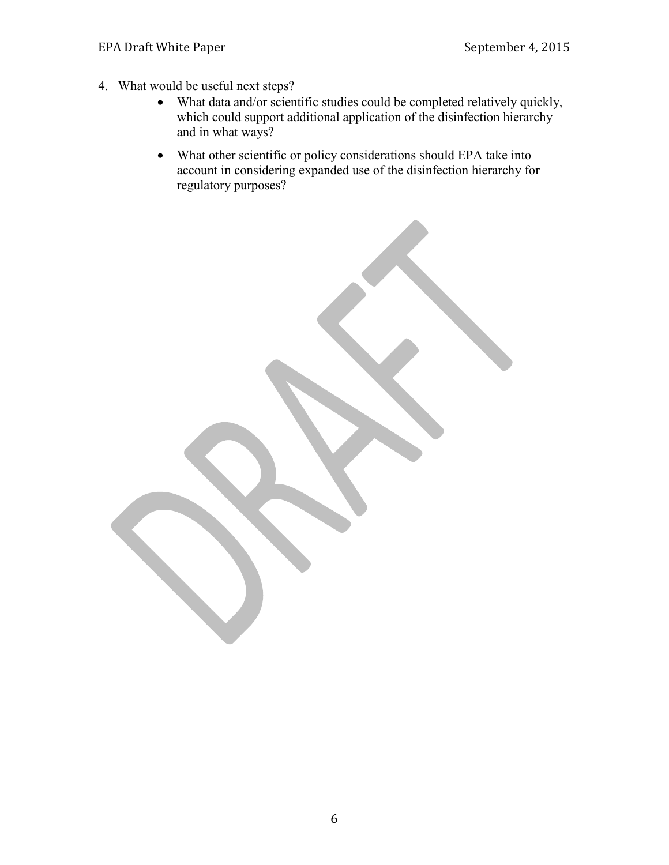- 4. What would be useful next steps?
	- What data and/or scientific studies could be completed relatively quickly, which could support additional application of the disinfection hierarchy – and in what ways?
	- What other scientific or policy considerations should EPA take into account in considering expanded use of the disinfection hierarchy for regulatory purposes?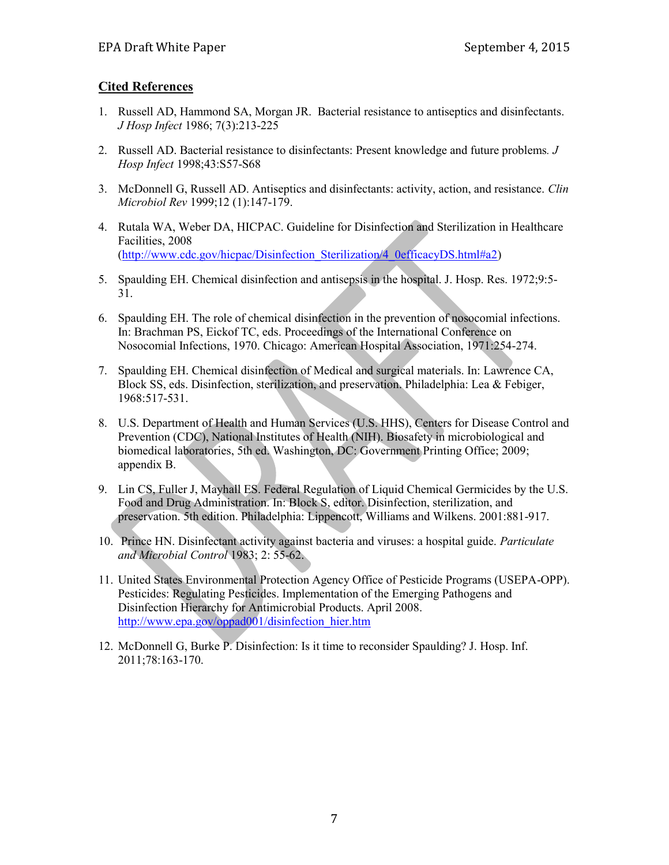### **Cited References**

- 1. Russell AD, Hammond SA, Morgan JR. Bacterial resistance to antiseptics and disinfectants. *J Hosp Infect* 1986; 7(3):213-225
- 2. Russell AD. Bacterial resistance to disinfectants: Present knowledge and future problems*. J Hosp Infect* 1998;43:S57-S68
- 3. McDonnell G, Russell AD. Antiseptics and disinfectants: activity, action, and resistance. *Clin Microbiol Rev* 1999;12 (1):147-179.
- 4. Rutala WA, Weber DA, HICPAC. Guideline for Disinfection and Sterilization in Healthcare Facilities, 2008 [\(http://www.cdc.gov/hicpac/Disinfection\\_Sterilization/4\\_0efficacyDS.html#a2\)](http://www.cdc.gov/hicpac/Disinfection_Sterilization/4_0efficacyDS.html#a2)
- 5. Spaulding EH. Chemical disinfection and antisepsis in the hospital. J. Hosp. Res. 1972;9:5- 31.
- 6. Spaulding EH. The role of chemical disinfection in the prevention of nosocomial infections. In: Brachman PS, Eickof TC, eds. Proceedings of the International Conference on Nosocomial Infections, 1970. Chicago: American Hospital Association, 1971:254-274.
- 7. Spaulding EH. Chemical disinfection of Medical and surgical materials. In: Lawrence CA, Block SS, eds. Disinfection, sterilization, and preservation. Philadelphia: Lea & Febiger, 1968:517-531.
- 8. U.S. Department of Health and Human Services (U.S. HHS), Centers for Disease Control and Prevention (CDC), National Institutes of Health (NIH). Biosafety in microbiological and biomedical laboratories, 5th ed. Washington, DC: Government Printing Office; 2009; appendix B.
- 9. Lin CS, Fuller J, Mayhall ES. Federal Regulation of Liquid Chemical Germicides by the U.S. Food and Drug Administration. In: Block S, editor. Disinfection, sterilization, and preservation. 5th edition. Philadelphia: Lippencott, Williams and Wilkens. 2001:881-917.
- 10. Prince HN. Disinfectant activity against bacteria and viruses: a hospital guide. *Particulate and Microbial Control* 1983; 2: 55-62.
- 11. United States Environmental Protection Agency Office of Pesticide Programs (USEPA-OPP). Pesticides: Regulating Pesticides. Implementation of the Emerging Pathogens and Disinfection Hierarchy for Antimicrobial Products. April 2008. [http://www.epa.gov/oppad001/disinfection\\_hier.htm](http://www.epa.gov/oppad001/disinfection_hier.htm)
- 12. McDonnell G, Burke P. Disinfection: Is it time to reconsider Spaulding? J. Hosp. Inf. 2011;78:163-170.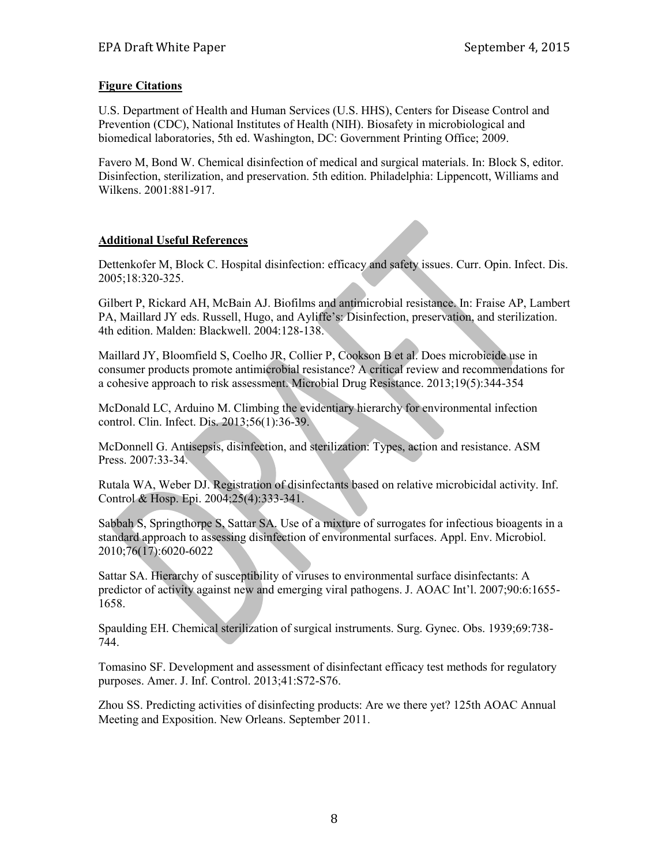### **Figure Citations**

U.S. Department of Health and Human Services (U.S. HHS), Centers for Disease Control and Prevention (CDC), National Institutes of Health (NIH). Biosafety in microbiological and biomedical laboratories, 5th ed. Washington, DC: Government Printing Office; 2009.

Favero M, Bond W. Chemical disinfection of medical and surgical materials. In: Block S, editor. Disinfection, sterilization, and preservation. 5th edition. Philadelphia: Lippencott, Williams and Wilkens. 2001:881-917.

### **Additional Useful References**

Dettenkofer M, Block C. Hospital disinfection: efficacy and safety issues. Curr. Opin. Infect. Dis. 2005;18:320-325.

Gilbert P, Rickard AH, McBain AJ. Biofilms and antimicrobial resistance. In: Fraise AP, Lambert PA, Maillard JY eds. Russell, Hugo, and Ayliffe's: Disinfection, preservation, and sterilization. 4th edition. Malden: Blackwell. 2004:128-138.

Maillard JY, Bloomfield S, Coelho JR, Collier P, Cookson B et al. Does microbicide use in consumer products promote antimicrobial resistance? A critical review and recommendations for a cohesive approach to risk assessment. Microbial Drug Resistance. 2013;19(5):344-354

McDonald LC, Arduino M. Climbing the evidentiary hierarchy for environmental infection control. Clin. Infect. Dis. 2013;56(1):36-39.

McDonnell G. Antisepsis, disinfection, and sterilization: Types, action and resistance. ASM Press. 2007:33-34.

Rutala WA, Weber DJ. Registration of disinfectants based on relative microbicidal activity. Inf. Control & Hosp. Epi. 2004;25(4):333-341.

Sabbah S, Springthorpe S, Sattar SA. Use of a mixture of surrogates for infectious bioagents in a standard approach to assessing disinfection of environmental surfaces. Appl. Env. Microbiol. 2010;76(17):6020-6022

Sattar SA. Hierarchy of susceptibility of viruses to environmental surface disinfectants: A predictor of activity against new and emerging viral pathogens. J. AOAC Int'l. 2007;90:6:1655- 1658.

Spaulding EH. Chemical sterilization of surgical instruments. Surg. Gynec. Obs. 1939;69:738- 744.

Tomasino SF. Development and assessment of disinfectant efficacy test methods for regulatory purposes. Amer. J. Inf. Control. 2013;41:S72-S76.

Zhou SS. Predicting activities of disinfecting products: Are we there yet? 125th AOAC Annual Meeting and Exposition. New Orleans. September 2011.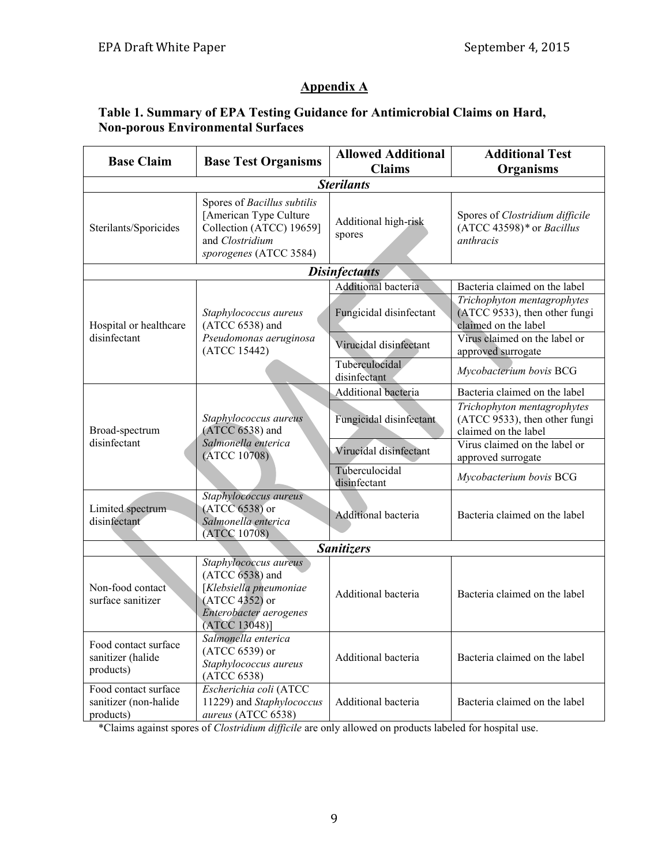## **Appendix A**

## **Table 1. Summary of EPA Testing Guidance for Antimicrobial Claims on Hard, Non-porous Environmental Surfaces**

| <b>Base Claim</b>                                          | <b>Base Test Organisms</b>                                                                                                      | <b>Allowed Additional</b><br><b>Claims</b> | <b>Additional Test</b><br>Organisms                                                  |
|------------------------------------------------------------|---------------------------------------------------------------------------------------------------------------------------------|--------------------------------------------|--------------------------------------------------------------------------------------|
| <b>Sterilants</b>                                          |                                                                                                                                 |                                            |                                                                                      |
| Sterilants/Sporicides                                      | Spores of Bacillus subtilis<br>[American Type Culture<br>Collection (ATCC) 19659]<br>and Clostridium<br>sporogenes (ATCC 3584)  | Additional high-risk<br>spores             | Spores of Clostridium difficile<br>$(ATCC 43598)*$ or Bacillus<br><i>anthracis</i>   |
| <b>Disinfectants</b>                                       |                                                                                                                                 |                                            |                                                                                      |
|                                                            |                                                                                                                                 | Additional bacteria                        | Bacteria claimed on the label                                                        |
| Hospital or healthcare<br>disinfectant                     | Staphylococcus aureus<br>$(ATCC 6538)$ and<br>Pseudomonas aeruginosa<br>(ATCC 15442)                                            | Fungicidal disinfectant                    | Trichophyton mentagrophytes<br>(ATCC 9533), then other fungi<br>claimed on the label |
|                                                            |                                                                                                                                 | Virucidal disinfectant                     | Virus claimed on the label or<br>approved surrogate                                  |
|                                                            |                                                                                                                                 | Tuberculocidal<br>disinfectant             | Mycobacterium bovis BCG                                                              |
| Broad-spectrum<br>disinfectant                             | Staphylococcus aureus<br>(ATCC 6538) and<br>Salmonella enterica<br>(ATCC 10708)                                                 | Additional bacteria                        | Bacteria claimed on the label                                                        |
|                                                            |                                                                                                                                 | Fungicidal disinfectant                    | Trichophyton mentagrophytes<br>(ATCC 9533), then other fungi<br>claimed on the label |
|                                                            |                                                                                                                                 | Virucidal disinfectant                     | Virus claimed on the label or<br>approved surrogate                                  |
|                                                            |                                                                                                                                 | Tuberculocidal<br>disinfectant             | Mycobacterium bovis BCG                                                              |
| Limited spectrum<br>disinfectant                           | Staphylococcus aureus<br>$(ATCC 6538)$ or<br>Salmonella enterica<br>(ATCC 10708)                                                | <b>Additional bacteria</b>                 | Bacteria claimed on the label                                                        |
| <b>Sanitizers</b>                                          |                                                                                                                                 |                                            |                                                                                      |
| Non-food contact<br>surface sanitizer                      | Staphylococcus aureus<br>(ATCC 6538) and<br>[Klebsiella pneumoniae<br>(ATCC 4352) or<br>Enterobacter aerogenes<br>(ATCC 13048)] | Additional bacteria                        | Bacteria claimed on the label                                                        |
| Food contact surface<br>sanitizer (halide<br>products)     | Salmonella enterica<br>(ATCC 6539) or<br>Staphylococcus aureus<br>(ATCC 6538)                                                   | Additional bacteria                        | Bacteria claimed on the label                                                        |
| Food contact surface<br>sanitizer (non-halide<br>products) | Escherichia coli (ATCC<br>11229) and Staphylococcus<br>aureus (ATCC 6538)                                                       | Additional bacteria                        | Bacteria claimed on the label                                                        |

\*Claims against spores of *Clostridium difficile* are only allowed on products labeled for hospital use.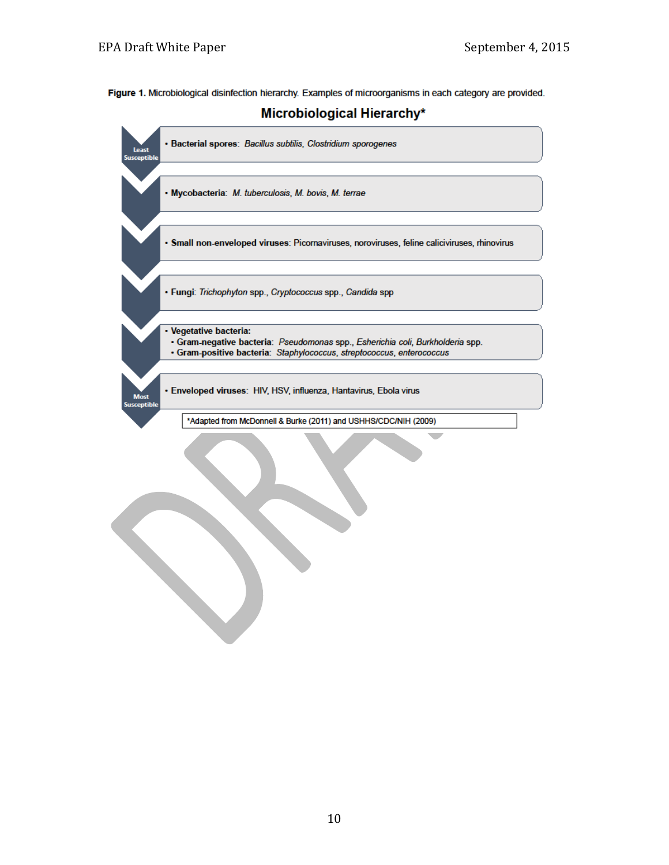Figure 1. Microbiological disinfection hierarchy. Examples of microorganisms in each category are provided.



Microbiological Hierarchy\*